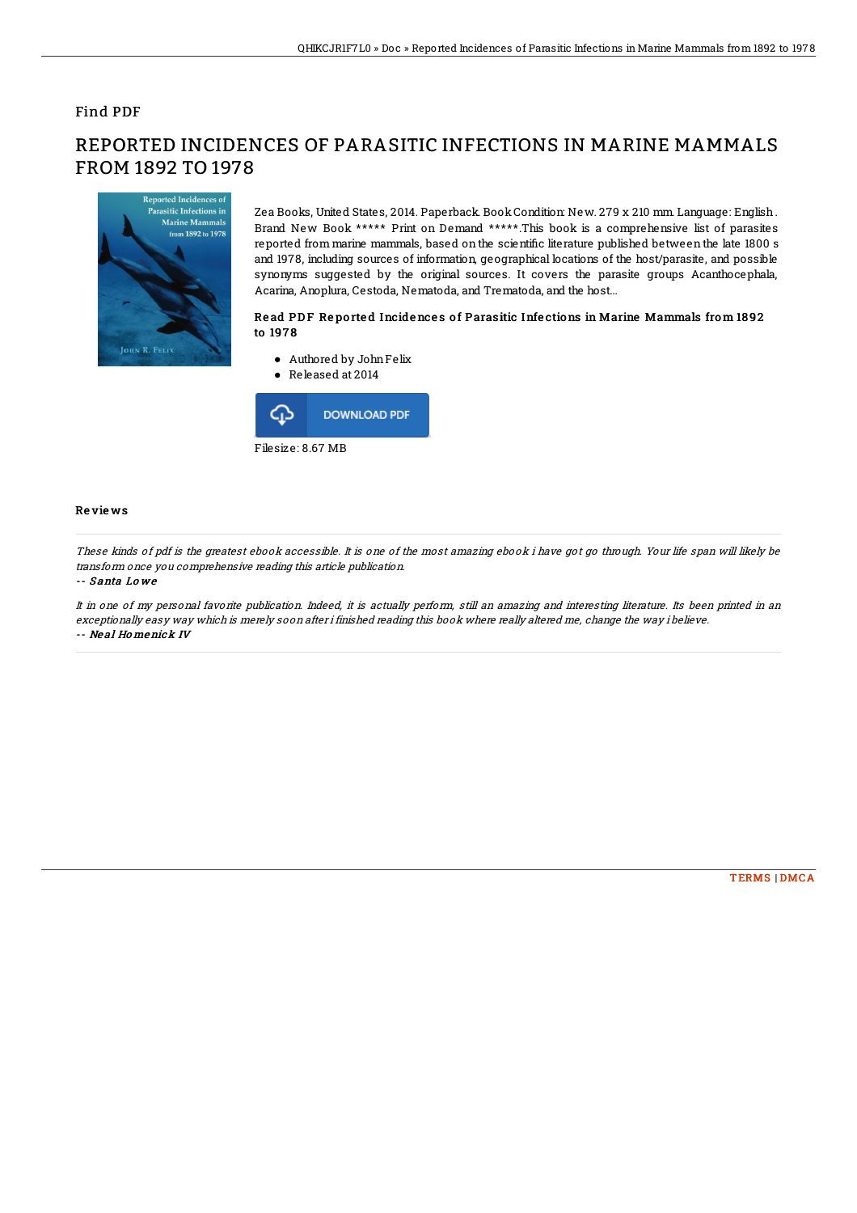## Find PDF

# Reported Incidences of Parasitic Infections in **Marine Mammals** from 1892 to 1978 JOHN R. FELIX

FROM 1892 TO 1978

Zea Books, United States, 2014. Paperback. BookCondition: New. 279 x 210 mm. Language: English. Brand New Book \*\*\*\*\* Print on Demand \*\*\*\*\*.This book is a comprehensive list of parasites reported from marine mammals, based on the scientific literature published between the late 1800 s and 1978, including sources of information, geographical locations of the host/parasite, and possible synonyms suggested by the original sources. It covers the parasite groups Acanthocephala, Acarina, Anoplura, Cestoda, Nematoda, and Trematoda, and the host...

### Read PDF Reported Incidences of Parasitic Infections in Marine Mammals from 1892 to 197 8

- Authored by JohnFelix
- Released at 2014



#### Re vie ws

These kinds of pdf is the greatest ebook accessible. It is one of the most amazing ebook i have got go through. Your life span will likely be transform once you comprehensive reading this article publication.

REPORTED INCIDENCES OF PARASITIC INFECTIONS IN MARINE MAMMALS

#### -- S anta Lo we

It in one of my personal favorite publication. Indeed, it is actually perform, still an amazing and interesting literature. Its been printed in an exceptionally easy way which is merely soon after i finished reading this book where really altered me, change the way i believe. -- Ne al Ho menick IV